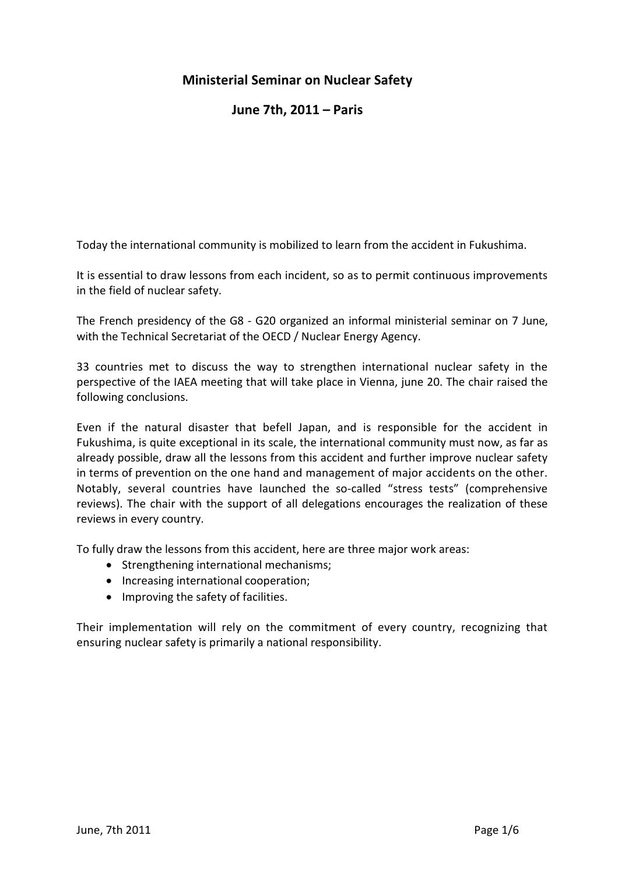# **Ministerial Seminar on Nuclear Safety**

# **June 7th, 2011 – Paris**

Today the international community is mobilized to learn from the accident in Fukushima.

It is essential to draw lessons from each incident, so as to permit continuous improvements in the field of nuclear safety.

The French presidency of the G8 - G20 organized an informal ministerial seminar on 7 June, with the Technical Secretariat of the OECD / Nuclear Energy Agency.

33 countries met to discuss the way to strengthen international nuclear safety in the perspective of the IAEA meeting that will take place in Vienna, june 20. The chair raised the following conclusions.

Even if the natural disaster that befell Japan, and is responsible for the accident in Fukushima, is quite exceptional in its scale, the international community must now, as far as already possible, draw all the lessons from this accident and further improve nuclear safety in terms of prevention on the one hand and management of major accidents on the other. Notably, several countries have launched the so-called "stress tests" (comprehensive reviews). The chair with the support of all delegations encourages the realization of these reviews in every country.

To fully draw the lessons from this accident, here are three major work areas:

- Strengthening international mechanisms;
- Increasing international cooperation;
- Improving the safety of facilities.

Their implementation will rely on the commitment of every country, recognizing that ensuring nuclear safety is primarily a national responsibility.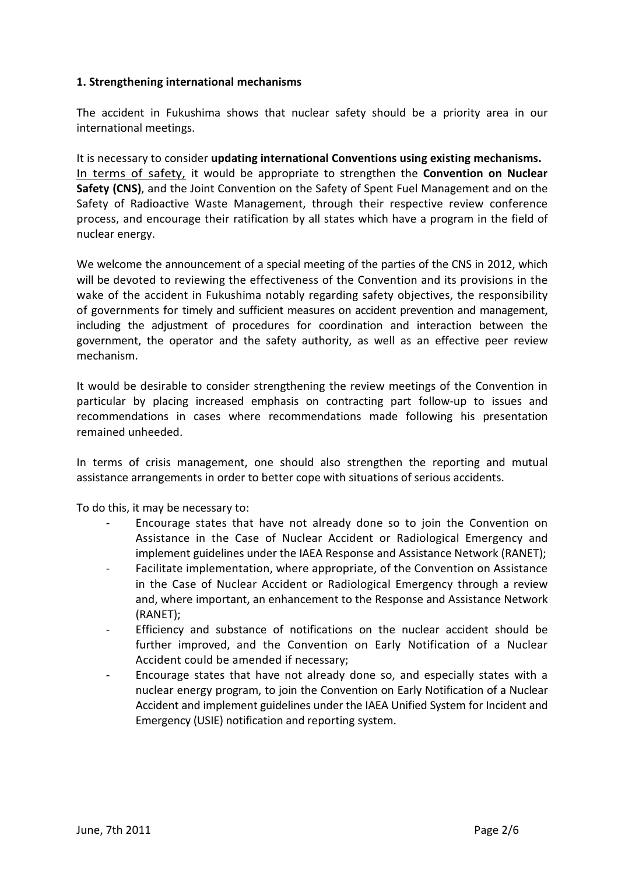### **1. Strengthening international mechanisms**

The accident in Fukushima shows that nuclear safety should be a priority area in our international meetings.

It is necessary to consider **updating international Conventions using existing mechanisms.** In terms of safety, it would be appropriate to strengthen the **Convention on Nuclear Safety (CNS)**, and the Joint Convention on the Safety of Spent Fuel Management and on the Safety of Radioactive Waste Management, through their respective review conference process, and encourage their ratification by all states which have a program in the field of nuclear energy.

We welcome the announcement of a special meeting of the parties of the CNS in 2012, which will be devoted to reviewing the effectiveness of the Convention and its provisions in the wake of the accident in Fukushima notably regarding safety objectives, the responsibility of governments for timely and sufficient measures on accident prevention and management, including the adjustment of procedures for coordination and interaction between the government, the operator and the safety authority, as well as an effective peer review mechanism.

It would be desirable to consider strengthening the review meetings of the Convention in particular by placing increased emphasis on contracting part follow-up to issues and recommendations in cases where recommendations made following his presentation remained unheeded.

In terms of crisis management, one should also strengthen the reporting and mutual assistance arrangements in order to better cope with situations of serious accidents.

To do this, it may be necessary to:

- Encourage states that have not already done so to join the Convention on Assistance in the Case of Nuclear Accident or Radiological Emergency and implement guidelines under the IAEA Response and Assistance Network (RANET);
- Facilitate implementation, where appropriate, of the Convention on Assistance in the Case of Nuclear Accident or Radiological Emergency through a review and, where important, an enhancement to the Response and Assistance Network (RANET);
- Efficiency and substance of notifications on the nuclear accident should be further improved, and the Convention on Early Notification of a Nuclear Accident could be amended if necessary;
- Encourage states that have not already done so, and especially states with a nuclear energy program, to join the Convention on Early Notification of a Nuclear Accident and implement guidelines under the IAEA Unified System for Incident and Emergency (USIE) notification and reporting system.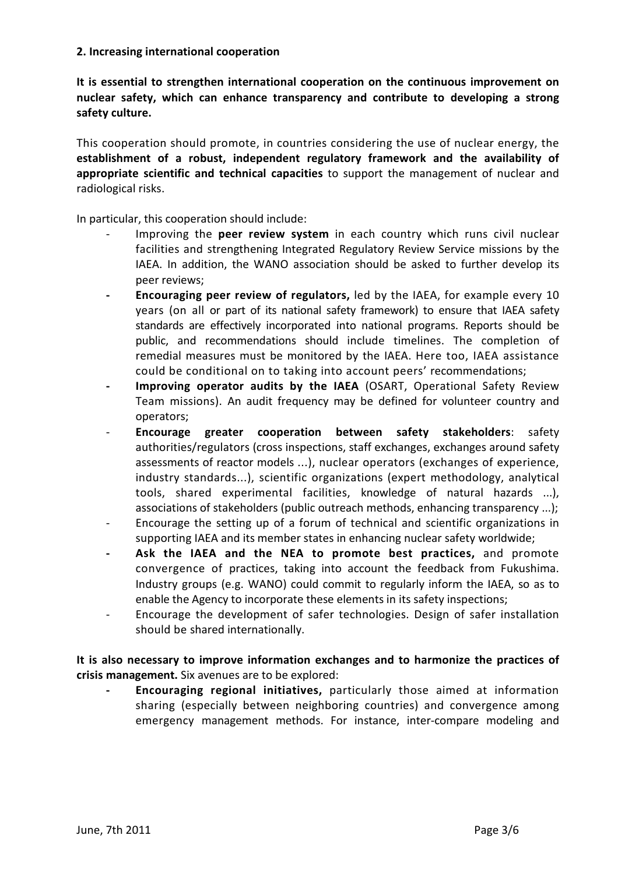#### **2. Increasing international cooperation**

**It is essential to strengthen international cooperation on the continuous improvement on nuclear safety, which can enhance transparency and contribute to developing a strong safety culture.**

This cooperation should promote, in countries considering the use of nuclear energy, the **establishment of a robust, independent regulatory framework and the availability of appropriate scientific and technical capacities** to support the management of nuclear and radiological risks.

In particular, this cooperation should include:

- Improving the **peer review system** in each country which runs civil nuclear facilities and strengthening Integrated Regulatory Review Service missions by the IAEA. In addition, the WANO association should be asked to further develop its peer reviews;
- **Encouraging peer review of regulators,** led by the IAEA, for example every 10 years (on all or part of its national safety framework) to ensure that IAEA safety standards are effectively incorporated into national programs. Reports should be public, and recommendations should include timelines. The completion of remedial measures must be monitored by the IAEA. Here too, IAEA assistance could be conditional on to taking into account peers' recommendations;
- Improving operator audits by the IAEA (OSART, Operational Safety Review Team missions). An audit frequency may be defined for volunteer country and operators;
- **Encourage greater cooperation between safety stakeholders**: safety authorities/regulators (cross inspections, staff exchanges, exchanges around safety assessments of reactor models ...), nuclear operators (exchanges of experience, industry standards...), scientific organizations (expert methodology, analytical tools, shared experimental facilities, knowledge of natural hazards ...), associations of stakeholders (public outreach methods, enhancing transparency ...);
- Encourage the setting up of a forum of technical and scientific organizations in supporting IAEA and its member states in enhancing nuclear safety worldwide;
- **Ask the IAEA and the NEA to promote best practices,** and promote convergence of practices, taking into account the feedback from Fukushima. Industry groups (e.g. WANO) could commit to regularly inform the IAEA, so as to enable the Agency to incorporate these elements in its safety inspections;
- Encourage the development of safer technologies. Design of safer installation should be shared internationally.

**It is also necessary to improve information exchanges and to harmonize the practices of crisis management.** Six avenues are to be explored:

**- Encouraging regional initiatives,** particularly those aimed at information sharing (especially between neighboring countries) and convergence among emergency management methods. For instance, inter-compare modeling and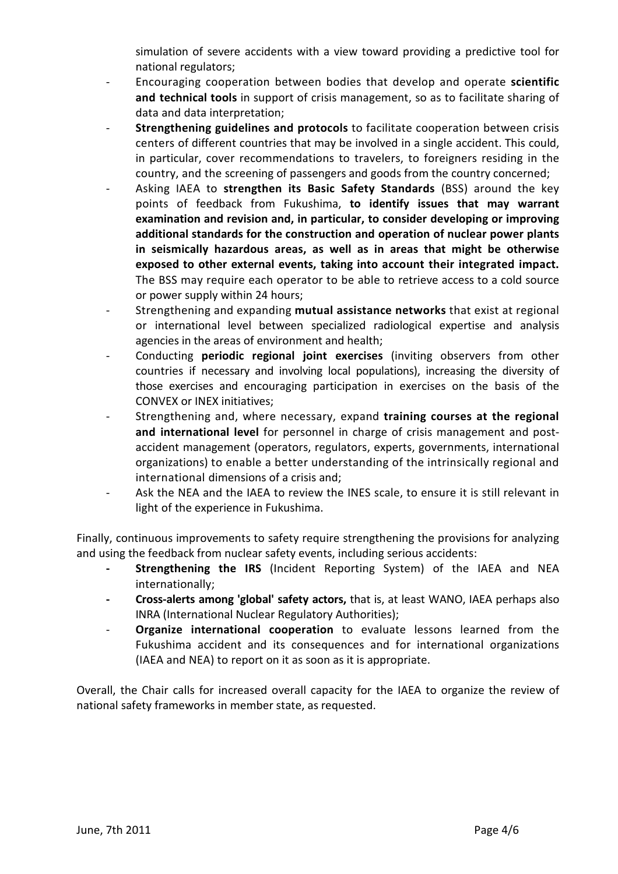simulation of severe accidents with a view toward providing a predictive tool for national regulators;

- Encouraging cooperation between bodies that develop and operate **scientific and technical tools** in support of crisis management, so as to facilitate sharing of data and data interpretation;
- **Strengthening guidelines and protocols** to facilitate cooperation between crisis centers of different countries that may be involved in a single accident. This could, in particular, cover recommendations to travelers, to foreigners residing in the country, and the screening of passengers and goods from the country concerned;
- Asking IAEA to **strengthen its Basic Safety Standards** (BSS) around the key points of feedback from Fukushima, **to identify issues that may warrant examination and revision and, in particular, to consider developing or improving additional standards for the construction and operation of nuclear power plants in seismically hazardous areas, as well as in areas that might be otherwise exposed to other external events, taking into account their integrated impact.** The BSS may require each operator to be able to retrieve access to a cold source or power supply within 24 hours;
- Strengthening and expanding **mutual assistance networks** that exist at regional or international level between specialized radiological expertise and analysis agencies in the areas of environment and health;
- Conducting **periodic regional joint exercises** (inviting observers from other countries if necessary and involving local populations), increasing the diversity of those exercises and encouraging participation in exercises on the basis of the CONVEX or INEX initiatives;
- Strengthening and, where necessary, expand **training courses at the regional and international level** for personnel in charge of crisis management and postaccident management (operators, regulators, experts, governments, international organizations) to enable a better understanding of the intrinsically regional and international dimensions of a crisis and;
- Ask the NEA and the IAEA to review the INES scale, to ensure it is still relevant in light of the experience in Fukushima.

Finally, continuous improvements to safety require strengthening the provisions for analyzing and using the feedback from nuclear safety events, including serious accidents:

- **Strengthening the IRS** (Incident Reporting System) of the IAEA and NEA internationally;
- **Cross-alerts among 'global' safety actors,** that is, at least WANO, IAEA perhaps also INRA (International Nuclear Regulatory Authorities);
- **Organize international cooperation** to evaluate lessons learned from the Fukushima accident and its consequences and for international organizations (IAEA and NEA) to report on it as soon as it is appropriate.

Overall, the Chair calls for increased overall capacity for the IAEA to organize the review of national safety frameworks in member state, as requested.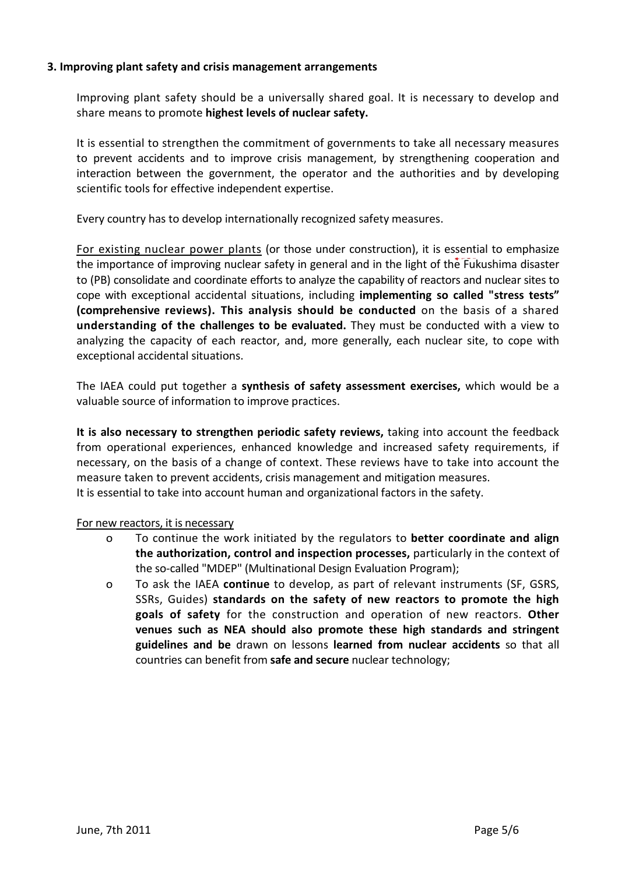#### **3. Improving plant safety and crisis management arrangements**

Improving plant safety should be a universally shared goal. It is necessary to develop and share means to promote **highest levels of nuclear safety.**

It is essential to strengthen the commitment of governments to take all necessary measures to prevent accidents and to improve crisis management, by strengthening cooperation and interaction between the government, the operator and the authorities and by developing scientific tools for effective independent expertise.

Every country has to develop internationally recognized safety measures.

For existing nuclear power plants (or those under construction), it is essential to emphasize the importance of improving nuclear safety in general and in the light of the Fukushima disaster to (PB) consolidate and coordinate efforts to analyze the capability of reactors and nuclear sites to cope with exceptional accidental situations, including **implementing so called "stress tests" (comprehensive reviews). This analysis should be conducted** on the basis of a shared **understanding of the challenges to be evaluated.** They must be conducted with a view to analyzing the capacity of each reactor, and, more generally, each nuclear site, to cope with exceptional accidental situations.

The IAEA could put together a **synthesis of safety assessment exercises,** which would be a valuable source of information to improve practices.

**It is also necessary to strengthen periodic safety reviews,** taking into account the feedback from operational experiences, enhanced knowledge and increased safety requirements, if necessary, on the basis of a change of context. These reviews have to take into account the measure taken to prevent accidents, crisis management and mitigation measures. It is essential to take into account human and organizational factors in the safety.

#### For new reactors, it is necessary

- o To continue the work initiated by the regulators to **better coordinate and align the authorization, control and inspection processes,** particularly in the context of the so-called "MDEP" (Multinational Design Evaluation Program);
- o To ask the IAEA **continue** to develop, as part of relevant instruments (SF, GSRS, SSRs, Guides) **standards on the safety of new reactors to promote the high goals of safety** for the construction and operation of new reactors. **Other venues such as NEA should also promote these high standards and stringent guidelines and be** drawn on lessons **learned from nuclear accidents** so that all countries can benefit from **safe and secure** nuclear technology;